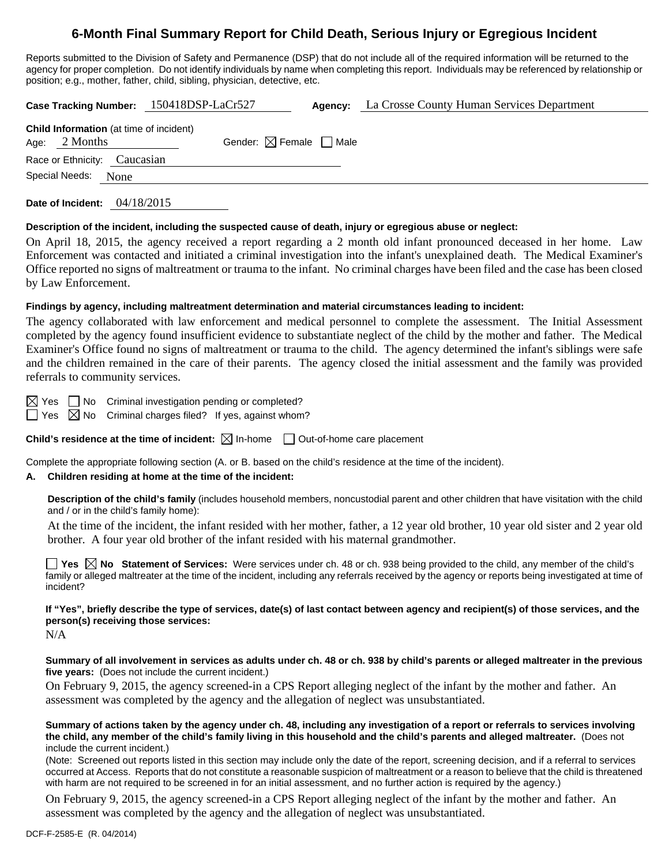# **6-Month Final Summary Report for Child Death, Serious Injury or Egregious Incident**

Reports submitted to the Division of Safety and Permanence (DSP) that do not include all of the required information will be returned to the agency for proper completion. Do not identify individuals by name when completing this report. Individuals may be referenced by relationship or position; e.g., mother, father, child, sibling, physician, detective, etc.

| Case Tracking Number: 150418DSP-LaCr527 | <b>Agency:</b> La Crosse County Human Services Department |
|-----------------------------------------|-----------------------------------------------------------|
|                                         |                                                           |

|                              | <b>Child Information</b> (at time of incident) |                                        |
|------------------------------|------------------------------------------------|----------------------------------------|
| Age: $2$ Months              |                                                | Gender: $\boxtimes$ Female $\Box$ Male |
| Race or Ethnicity: Caucasian |                                                |                                        |
| Special Needs: None          |                                                |                                        |
|                              |                                                |                                        |

**Date of Incident:** 04/18/2015

#### **Description of the incident, including the suspected cause of death, injury or egregious abuse or neglect:**

On April 18, 2015, the agency received a report regarding a 2 month old infant pronounced deceased in her home. Law Enforcement was contacted and initiated a criminal investigation into the infant's unexplained death. The Medical Examiner's Office reported no signs of maltreatment or trauma to the infant. No criminal charges have been filed and the case has been closed by Law Enforcement.

## **Findings by agency, including maltreatment determination and material circumstances leading to incident:**

The agency collaborated with law enforcement and medical personnel to complete the assessment. The Initial Assessment completed by the agency found insufficient evidence to substantiate neglect of the child by the mother and father. The Medical Examiner's Office found no signs of maltreatment or trauma to the child. The agency determined the infant's siblings were safe and the children remained in the care of their parents. The agency closed the initial assessment and the family was provided referrals to community services.

 $\boxtimes$  Yes  $\Box$  No Criminal investigation pending or completed?

 $\Box$  Yes  $\boxtimes$  No Criminal charges filed? If yes, against whom?

**Child's residence at the time of incident:**  $\boxtimes$  In-home  $\Box$  Out-of-home care placement

Complete the appropriate following section (A. or B. based on the child's residence at the time of the incident).

# **A. Children residing at home at the time of the incident:**

**Description of the child's family** (includes household members, noncustodial parent and other children that have visitation with the child and / or in the child's family home):

 At the time of the incident, the infant resided with her mother, father, a 12 year old brother, 10 year old sister and 2 year old brother. A four year old brother of the infant resided with his maternal grandmother.

■ Yes **No** Statement of Services: Were services under ch. 48 or ch. 938 being provided to the child, any member of the child's family or alleged maltreater at the time of the incident, including any referrals received by the agency or reports being investigated at time of incident?

**If "Yes", briefly describe the type of services, date(s) of last contact between agency and recipient(s) of those services, and the person(s) receiving those services:** 

N/A

**Summary of all involvement in services as adults under ch. 48 or ch. 938 by child's parents or alleged maltreater in the previous five years:** (Does not include the current incident.)

On February 9, 2015, the agency screened-in a CPS Report alleging neglect of the infant by the mother and father. An assessment was completed by the agency and the allegation of neglect was unsubstantiated.

**Summary of actions taken by the agency under ch. 48, including any investigation of a report or referrals to services involving the child, any member of the child's family living in this household and the child's parents and alleged maltreater.** (Does not include the current incident.)

(Note: Screened out reports listed in this section may include only the date of the report, screening decision, and if a referral to services occurred at Access. Reports that do not constitute a reasonable suspicion of maltreatment or a reason to believe that the child is threatened with harm are not required to be screened in for an initial assessment, and no further action is required by the agency.)

On February 9, 2015, the agency screened-in a CPS Report alleging neglect of the infant by the mother and father. An assessment was completed by the agency and the allegation of neglect was unsubstantiated.